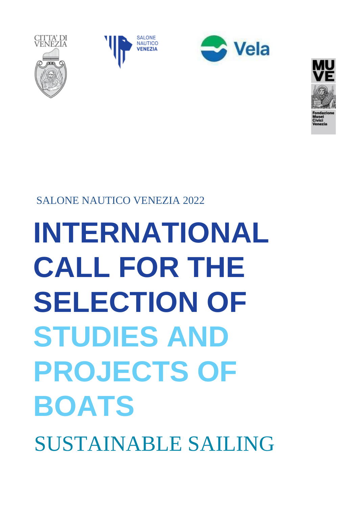**INTERNATIONAL CALL FOR THE SELECTION OF STUDIES AND PROJECTS OF BOATS** SUSTAINABLE SAILING

SALONE NAUTICO VENEZIA 2022





**SALONE** 

CITTA' DI<br>VENEZIA



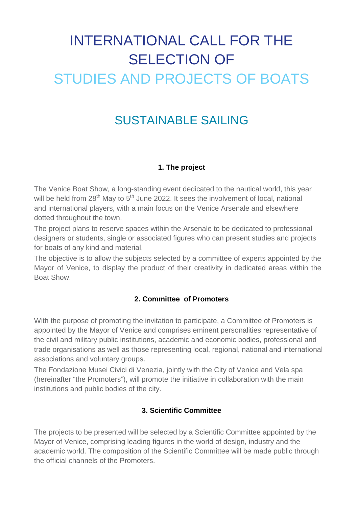# INTERNATIONAL CALL FOR THE SELECTION OF STUDIES AND PROJECTS OF BOATS

# SUSTAINABLE SAILING

#### **1. The project**

The Venice Boat Show, a long-standing event dedicated to the nautical world, this year will be held from  $28^{th}$  May to  $5^{th}$  June 2022. It sees the involvement of local, national and international players, with a main focus on the Venice Arsenale and elsewhere dotted throughout the town.

The project plans to reserve spaces within the Arsenale to be dedicated to professional designers or students, single or associated figures who can present studies and projects for boats of any kind and material.

The objective is to allow the subjects selected by a committee of experts appointed by the Mayor of Venice, to display the product of their creativity in dedicated areas within the Boat Show.

#### **2. Committee of Promoters**

With the purpose of promoting the invitation to participate, a Committee of Promoters is appointed by the Mayor of Venice and comprises eminent personalities representative of the civil and military public institutions, academic and economic bodies, professional and trade organisations as well as those representing local, regional, national and international associations and voluntary groups.

The Fondazione Musei Civici di Venezia, jointly with the City of Venice and Vela spa (hereinafter "the Promoters"), will promote the initiative in collaboration with the main institutions and public bodies of the city.

#### **3. Scientific Committee**

The projects to be presented will be selected by a Scientific Committee appointed by the Mayor of Venice, comprising leading figures in the world of design, industry and the academic world. The composition of the Scientific Committee will be made public through the official channels of the Promoters.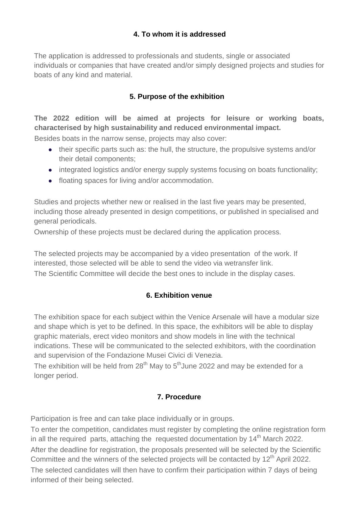#### **4. To whom it is addressed**

The application is addressed to professionals and students, single or associated individuals or companies that have created and/or simply designed projects and studies for boats of any kind and material.

#### **5. Purpose of the exhibition**

# **The 2022 edition will be aimed at projects for leisure or working boats, characterised by high sustainability and reduced environmental impact.**

Besides boats in the narrow sense, projects may also cover:

- their specific parts such as: the hull, the structure, the propulsive systems and/or their detail components;
- integrated logistics and/or energy supply systems focusing on boats functionality;
- floating spaces for living and/or accommodation.

Studies and projects whether new or realised in the last five years may be presented, including those already presented in design competitions, or published in specialised and general periodicals.

Ownership of these projects must be declared during the application process.

The selected projects may be accompanied by a video presentation of the work. If interested, those selected will be able to send the video via wetransfer link. The Scientific Committee will decide the best ones to include in the display cases.

#### **6. Exhibition venue**

The exhibition space for each subject within the Venice Arsenale will have a modular size and shape which is yet to be defined. In this space, the exhibitors will be able to display graphic materials, erect video monitors and show models in line with the technical indications. These will be communicated to the selected exhibitors, with the coordination and supervision of the Fondazione Musei Civici di Venezia.

The exhibition will be held from  $28^{th}$  May to  $5^{th}$ June 2022 and may be extended for a longer period.

#### **7. Procedure**

Participation is free and can take place individually or in groups.

To enter the competition, candidates must register by completing the online registration form in all the required parts, attaching the requested documentation by  $14<sup>th</sup>$  March 2022. After the deadline for registration, the proposals presented will be selected by the Scientific Committee and the winners of the selected projects will be contacted by 12<sup>th</sup> April 2022.

The selected candidates will then have to confirm their participation within 7 days of being informed of their being selected.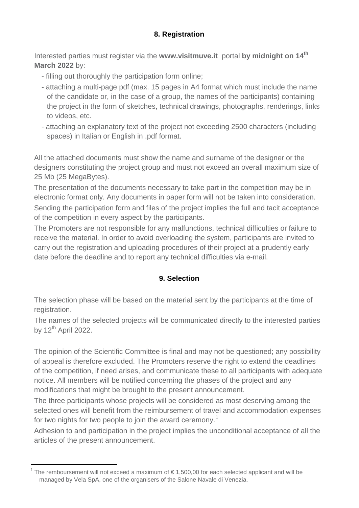## **8. Registration**

Interested parties must register via the **[www.visitmuve.it](http://www.visitmuve.it/)** portal **by midnight on 14th March 2022** by:

- filling out thoroughly the participation form online;
- attaching a multi-page pdf (max. 15 pages in A4 format which must include the name of the candidate or, in the case of a group, the names of the participants) containing the project in the form of sketches, technical drawings, photographs, renderings, links to videos, etc.
- attaching an explanatory text of the project not exceeding 2500 characters (including spaces) in Italian or English in .pdf format.

All the attached documents must show the name and surname of the designer or the designers constituting the project group and must not exceed an overall maximum size of 25 Mb (25 MegaBytes).

The presentation of the documents necessary to take part in the competition may be in electronic format only. Any documents in paper form will not be taken into consideration. Sending the participation form and files of the project implies the full and tacit acceptance of the competition in every aspect by the participants.

The Promoters are not responsible for any malfunctions, technical difficulties or failure to receive the material. In order to avoid overloading the system, participants are invited to carry out the registration and uploading procedures of their project at a prudently early date before the deadline and to report any technical difficulties via e-mail.

#### **9. Selection**

The selection phase will be based on the material sent by the participants at the time of registration.

The names of the selected projects will be communicated directly to the interested parties by  $12^{th}$  April 2022.

The opinion of the Scientific Committee is final and may not be questioned; any possibility of appeal is therefore excluded. The Promoters reserve the right to extend the deadlines of the competition, if need arises, and communicate these to all participants with adequate notice. All members will be notified concerning the phases of the project and any modifications that might be brought to the present announcement.

The three participants whose projects will be considered as most deserving among the selected ones will benefit from the reimbursement of travel and accommodation expenses for two nights for two people to join the award ceremony.<sup>[1](#page-3-0)</sup>

Adhesion to and participation in the project implies the unconditional acceptance of all the articles of the present announcement.

<span id="page-3-0"></span><sup>&</sup>lt;sup>1</sup> The remboursement will not exceed a maximum of €1,500,00 for each selected applicant and will be managed by Vela SpA, one of the organisers of the Salone Navale di Venezia.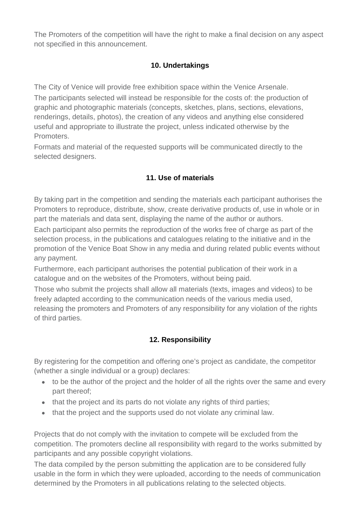The Promoters of the competition will have the right to make a final decision on any aspect not specified in this announcement.

# **10. Undertakings**

The City of Venice will provide free exhibition space within the Venice Arsenale.

The participants selected will instead be responsible for the costs of: the production of graphic and photographic materials (concepts, sketches, plans, sections, elevations, renderings, details, photos), the creation of any videos and anything else considered useful and appropriate to illustrate the project, unless indicated otherwise by the Promoters.

Formats and material of the requested supports will be communicated directly to the selected designers.

# **11. Use of materials**

By taking part in the competition and sending the materials each participant authorises the Promoters to reproduce, distribute, show, create derivative products of, use in whole or in part the materials and data sent, displaying the name of the author or authors.

Each participant also permits the reproduction of the works free of charge as part of the selection process, in the publications and catalogues relating to the initiative and in the promotion of the Venice Boat Show in any media and during related public events without any payment.

Furthermore, each participant authorises the potential publication of their work in a catalogue and on the websites of the Promoters, without being paid.

Those who submit the projects shall allow all materials (texts, images and videos) to be freely adapted according to the communication needs of the various media used, releasing the promoters and Promoters of any responsibility for any violation of the rights of third parties.

# **12. Responsibility**

By registering for the competition and offering one's project as candidate, the competitor (whether a single individual or a group) declares:

- to be the author of the project and the holder of all the rights over the same and every part thereof;
- that the project and its parts do not violate any rights of third parties;
- that the project and the supports used do not violate any criminal law.

Projects that do not comply with the invitation to compete will be excluded from the competition. The promoters decline all responsibility with regard to the works submitted by participants and any possible copyright violations.

The data compiled by the person submitting the application are to be considered fully usable in the form in which they were uploaded, according to the needs of communication determined by the Promoters in all publications relating to the selected objects.